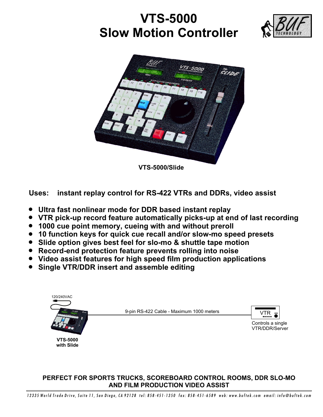## **VTS-5000 Slow Motion Controller**





**VTS-5000/Slide**

**Uses: instant replay control for RS-422 VTRs and DDRs, video assist**

- ! **Ultra fast nonlinear mode for DDR based instant replay**
- ! **VTR pick-up record feature automatically picks-up at end of last recording**
- ! **1000 cue point memory, cueing with and without preroll**
- ! **10 function keys for quick cue recall and/or slow-mo speed presets**
- ! **Slide option gives best feel for slo-mo & shuttle tape motion**
- ! **Record-end protection feature prevents rolling into noise**
- ! **Video assist features for high speed film production applications**
- ! **Single VTR/DDR insert and assemble editing**



## **PERFECT FOR SPORTS TRUCKS, SCOREBOARD CONTROL ROOMS, DDR SLO-MO AND FILM PRODUCTION VIDEO ASSIST**